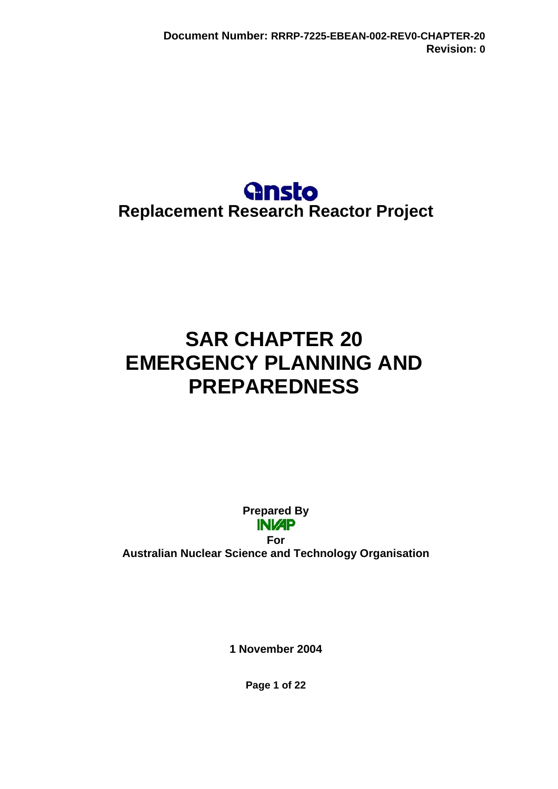# **Gnsto Replacement Research Reactor Project**

# **SAR CHAPTER 20 EMERGENCY PLANNING AND PREPAREDNESS**

**Prepared By INI/AP** 

**For Australian Nuclear Science and Technology Organisation** 

**1 November 2004** 

**Page 1 of 22**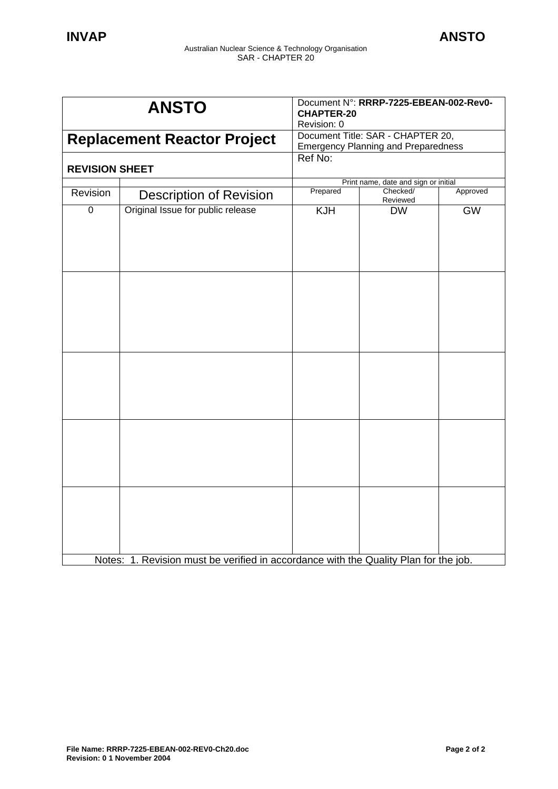| <b>ANSTO</b>                       |                                                                                      | Document N°: RRRP-7225-EBEAN-002-Rev0-<br><b>CHAPTER-20</b><br>Revision: 0      |                                      |           |
|------------------------------------|--------------------------------------------------------------------------------------|---------------------------------------------------------------------------------|--------------------------------------|-----------|
| <b>Replacement Reactor Project</b> |                                                                                      | Document Title: SAR - CHAPTER 20,<br><b>Emergency Planning and Preparedness</b> |                                      |           |
| <b>REVISION SHEET</b>              |                                                                                      | Ref No:                                                                         |                                      |           |
|                                    |                                                                                      |                                                                                 | Print name, date and sign or initial |           |
| Revision                           | <b>Description of Revision</b>                                                       | Prepared                                                                        | Checked/<br>Reviewed                 | Approved  |
| $\mathbf 0$                        | Original Issue for public release                                                    | <b>KJH</b>                                                                      | <b>DW</b>                            | <b>GW</b> |
|                                    |                                                                                      |                                                                                 |                                      |           |
|                                    |                                                                                      |                                                                                 |                                      |           |
|                                    |                                                                                      |                                                                                 |                                      |           |
|                                    | Notes: 1. Revision must be verified in accordance with the Quality Plan for the job. |                                                                                 |                                      |           |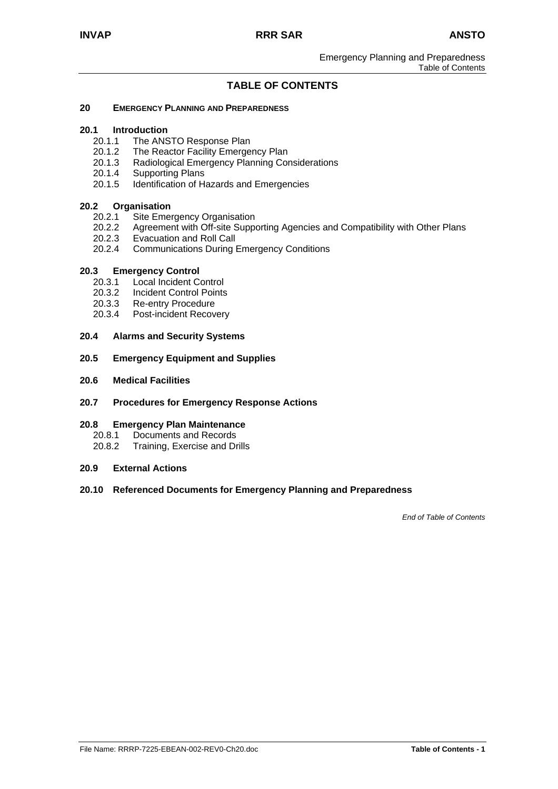# **TABLE OF CONTENTS**

#### **20 EMERGENCY PLANNING AND PREPAREDNESS**

#### **20.1 Introduction**

- 20.1.1 The ANSTO Response Plan
- 20.1.2 The Reactor Facility Emergency Plan
- 20.1.3 Radiological Emergency Planning Considerations
- 20.1.4 Supporting Plans
- 20.1.5 Identification of Hazards and Emergencies

#### **20.2 Organisation**

- 20.2.1 Site Emergency Organisation
- 20.2.2 Agreement with Off-site Supporting Agencies and Compatibility with Other Plans
- 20.2.3 Evacuation and Roll Call
- 20.2.4 Communications During Emergency Conditions

#### **20.3 Emergency Control**

- 20.3.1 Local Incident Control
- 20.3.2 Incident Control Points
- 20.3.3 Re-entry Procedure
- 20.3.4 Post-incident Recovery
- **20.4 Alarms and Security Systems**
- **20.5 Emergency Equipment and Supplies**
- **20.6 Medical Facilities**
- **20.7 Procedures for Emergency Response Actions**

#### **20.8 Emergency Plan Maintenance**

- 20.8.1 Documents and Records<br>20.8.2 Training. Exercise and Di
- Training, Exercise and Drills
- **20.9 External Actions**

#### **20.10 Referenced Documents for Emergency Planning and Preparedness**

*End of Table of Contents*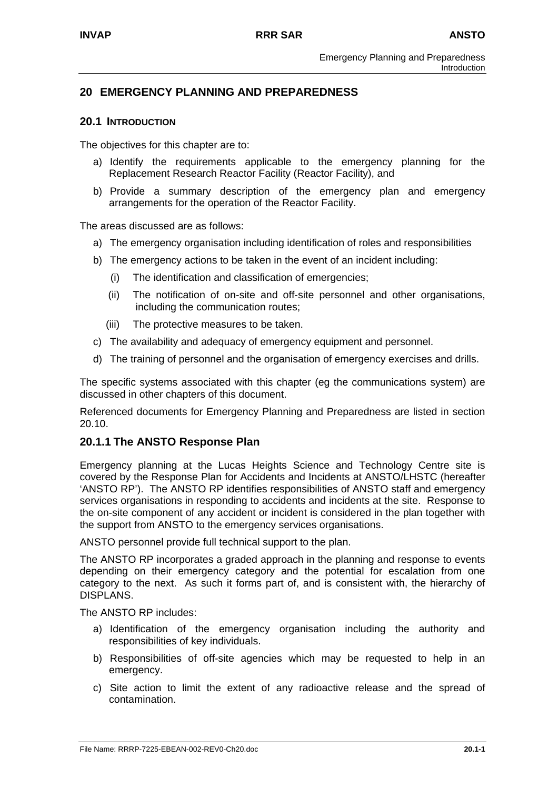## **20 EMERGENCY PLANNING AND PREPAREDNESS**

#### **20.1 INTRODUCTION**

The objectives for this chapter are to:

- a) Identify the requirements applicable to the emergency planning for the Replacement Research Reactor Facility (Reactor Facility), and
- b) Provide a summary description of the emergency plan and emergency arrangements for the operation of the Reactor Facility.

The areas discussed are as follows:

- a) The emergency organisation including identification of roles and responsibilities
- b) The emergency actions to be taken in the event of an incident including:
	- (i) The identification and classification of emergencies;
	- (ii) The notification of on-site and off-site personnel and other organisations, including the communication routes;
	- (iii) The protective measures to be taken.
- c) The availability and adequacy of emergency equipment and personnel.
- d) The training of personnel and the organisation of emergency exercises and drills.

The specific systems associated with this chapter (eg the communications system) are discussed in other chapters of this document.

Referenced documents for Emergency Planning and Preparedness are listed in section 20.10.

#### **20.1.1 The ANSTO Response Plan**

Emergency planning at the Lucas Heights Science and Technology Centre site is covered by the Response Plan for Accidents and Incidents at ANSTO/LHSTC (hereafter 'ANSTO RP'). The ANSTO RP identifies responsibilities of ANSTO staff and emergency services organisations in responding to accidents and incidents at the site. Response to the on-site component of any accident or incident is considered in the plan together with the support from ANSTO to the emergency services organisations.

ANSTO personnel provide full technical support to the plan.

The ANSTO RP incorporates a graded approach in the planning and response to events depending on their emergency category and the potential for escalation from one category to the next. As such it forms part of, and is consistent with, the hierarchy of DISPLANS.

The ANSTO RP includes:

- a) Identification of the emergency organisation including the authority and responsibilities of key individuals.
- b) Responsibilities of off-site agencies which may be requested to help in an emergency.
- c) Site action to limit the extent of any radioactive release and the spread of contamination.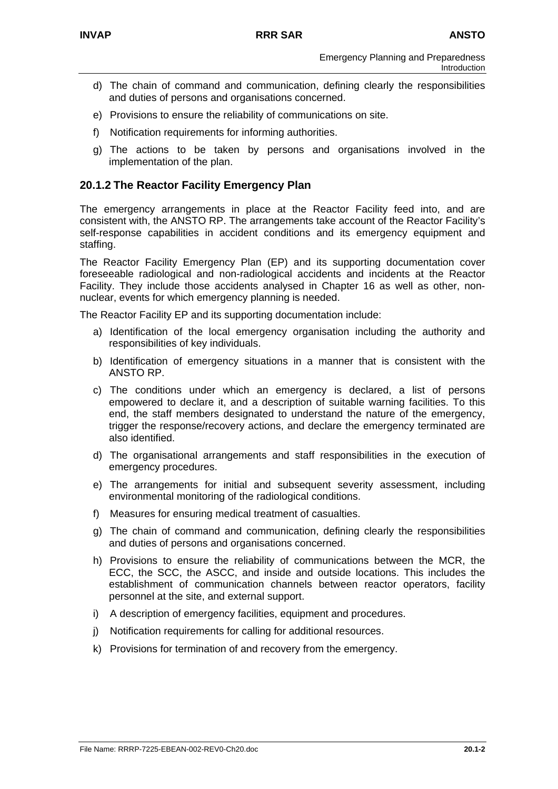- d) The chain of command and communication, defining clearly the responsibilities and duties of persons and organisations concerned.
- e) Provisions to ensure the reliability of communications on site.
- f) Notification requirements for informing authorities.
- g) The actions to be taken by persons and organisations involved in the implementation of the plan.

# **20.1.2 The Reactor Facility Emergency Plan**

The emergency arrangements in place at the Reactor Facility feed into, and are consistent with, the ANSTO RP. The arrangements take account of the Reactor Facility's self-response capabilities in accident conditions and its emergency equipment and staffing.

The Reactor Facility Emergency Plan (EP) and its supporting documentation cover foreseeable radiological and non-radiological accidents and incidents at the Reactor Facility. They include those accidents analysed in Chapter 16 as well as other, nonnuclear, events for which emergency planning is needed.

The Reactor Facility EP and its supporting documentation include:

- a) Identification of the local emergency organisation including the authority and responsibilities of key individuals.
- b) Identification of emergency situations in a manner that is consistent with the ANSTO RP.
- c) The conditions under which an emergency is declared, a list of persons empowered to declare it, and a description of suitable warning facilities. To this end, the staff members designated to understand the nature of the emergency, trigger the response/recovery actions, and declare the emergency terminated are also identified.
- d) The organisational arrangements and staff responsibilities in the execution of emergency procedures.
- e) The arrangements for initial and subsequent severity assessment, including environmental monitoring of the radiological conditions.
- f) Measures for ensuring medical treatment of casualties.
- g) The chain of command and communication, defining clearly the responsibilities and duties of persons and organisations concerned.
- h) Provisions to ensure the reliability of communications between the MCR, the ECC, the SCC, the ASCC, and inside and outside locations. This includes the establishment of communication channels between reactor operators, facility personnel at the site, and external support.
- i) A description of emergency facilities, equipment and procedures.
- j) Notification requirements for calling for additional resources.
- k) Provisions for termination of and recovery from the emergency.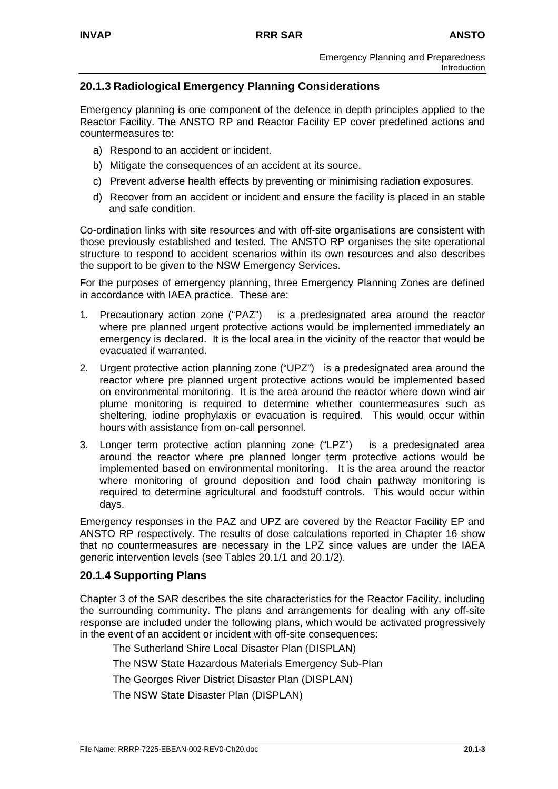# **20.1.3 Radiological Emergency Planning Considerations**

Emergency planning is one component of the defence in depth principles applied to the Reactor Facility. The ANSTO RP and Reactor Facility EP cover predefined actions and countermeasures to:

- a) Respond to an accident or incident.
- b) Mitigate the consequences of an accident at its source.
- c) Prevent adverse health effects by preventing or minimising radiation exposures.
- d) Recover from an accident or incident and ensure the facility is placed in an stable and safe condition.

Co-ordination links with site resources and with off-site organisations are consistent with those previously established and tested. The ANSTO RP organises the site operational structure to respond to accident scenarios within its own resources and also describes the support to be given to the NSW Emergency Services.

For the purposes of emergency planning, three Emergency Planning Zones are defined in accordance with IAEA practice. These are:

- 1. Precautionary action zone ("PAZ") is a predesignated area around the reactor where pre planned urgent protective actions would be implemented immediately an emergency is declared. It is the local area in the vicinity of the reactor that would be evacuated if warranted.
- 2. Urgent protective action planning zone ("UPZ") is a predesignated area around the reactor where pre planned urgent protective actions would be implemented based on environmental monitoring. It is the area around the reactor where down wind air plume monitoring is required to determine whether countermeasures such as sheltering, iodine prophylaxis or evacuation is required. This would occur within hours with assistance from on-call personnel.
- 3. Longer term protective action planning zone ("LPZ") is a predesignated area around the reactor where pre planned longer term protective actions would be implemented based on environmental monitoring. It is the area around the reactor where monitoring of ground deposition and food chain pathway monitoring is required to determine agricultural and foodstuff controls. This would occur within days.

Emergency responses in the PAZ and UPZ are covered by the Reactor Facility EP and ANSTO RP respectively. The results of dose calculations reported in Chapter 16 show that no countermeasures are necessary in the LPZ since values are under the IAEA generic intervention levels (see Tables 20.1/1 and 20.1/2).

# **20.1.4 Supporting Plans**

Chapter 3 of the SAR describes the site characteristics for the Reactor Facility, including the surrounding community. The plans and arrangements for dealing with any off-site response are included under the following plans, which would be activated progressively in the event of an accident or incident with off-site consequences:

The Sutherland Shire Local Disaster Plan (DISPLAN)

The NSW State Hazardous Materials Emergency Sub-Plan

The Georges River District Disaster Plan (DISPLAN)

The NSW State Disaster Plan (DISPLAN)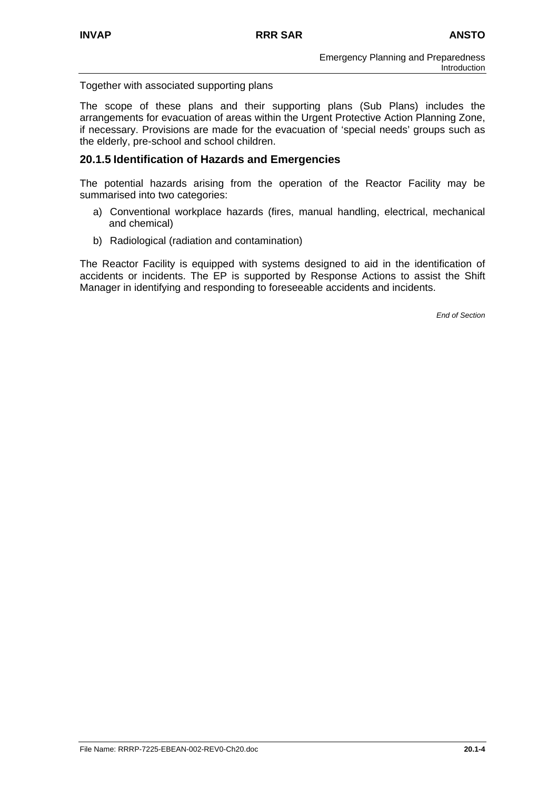Together with associated supporting plans

The scope of these plans and their supporting plans (Sub Plans) includes the arrangements for evacuation of areas within the Urgent Protective Action Planning Zone, if necessary. Provisions are made for the evacuation of 'special needs' groups such as the elderly, pre-school and school children.

## **20.1.5 Identification of Hazards and Emergencies**

The potential hazards arising from the operation of the Reactor Facility may be summarised into two categories:

- a) Conventional workplace hazards (fires, manual handling, electrical, mechanical and chemical)
- b) Radiological (radiation and contamination)

The Reactor Facility is equipped with systems designed to aid in the identification of accidents or incidents. The EP is supported by Response Actions to assist the Shift Manager in identifying and responding to foreseeable accidents and incidents.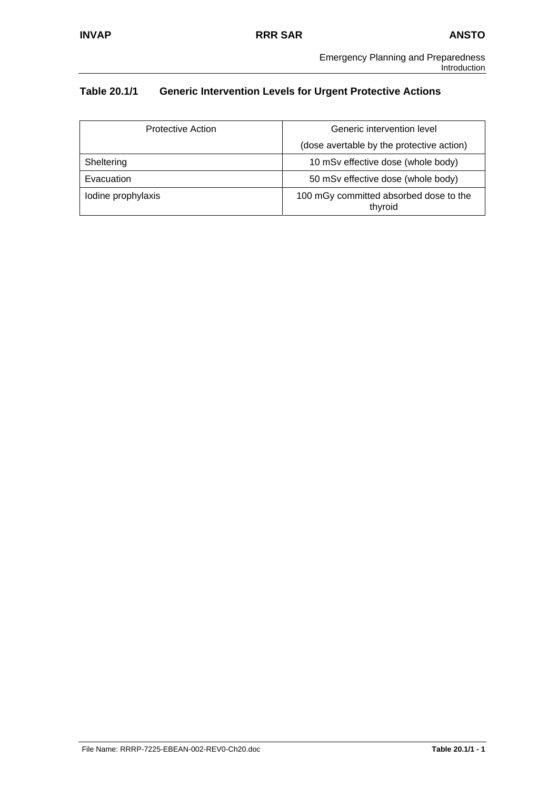# **Table 20.1/1 Generic Intervention Levels for Urgent Protective Actions**

| Protective Action  | Generic intervention level                        |  |
|--------------------|---------------------------------------------------|--|
|                    | (dose avertable by the protective action)         |  |
| Sheltering         | 10 mSv effective dose (whole body)                |  |
| Evacuation         | 50 mSv effective dose (whole body)                |  |
| lodine prophylaxis | 100 mGy committed absorbed dose to the<br>thyroid |  |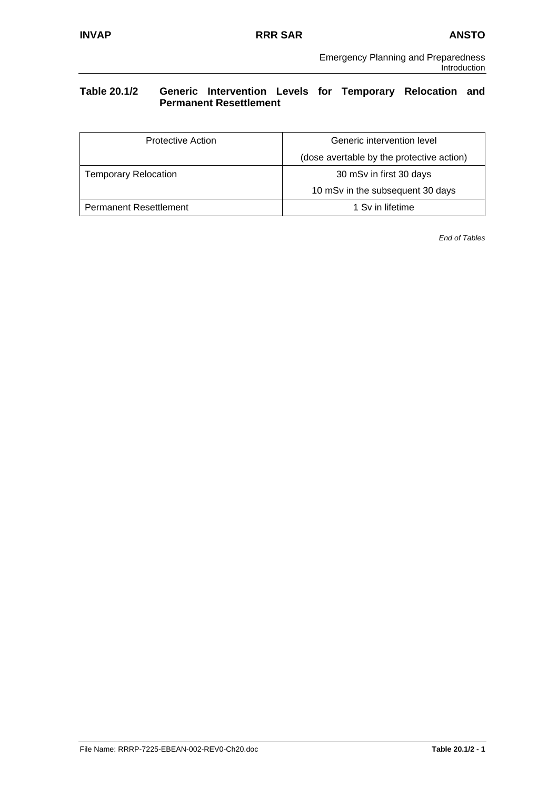# **Table 20.1/2 Generic Intervention Levels for Temporary Relocation and Permanent Resettlement**

| Protective Action             | Generic intervention level                |  |
|-------------------------------|-------------------------------------------|--|
|                               | (dose avertable by the protective action) |  |
| <b>Temporary Relocation</b>   | 30 mSv in first 30 days                   |  |
|                               | 10 mSv in the subsequent 30 days          |  |
| <b>Permanent Resettlement</b> | 1 Sv in lifetime                          |  |

*End of Tables*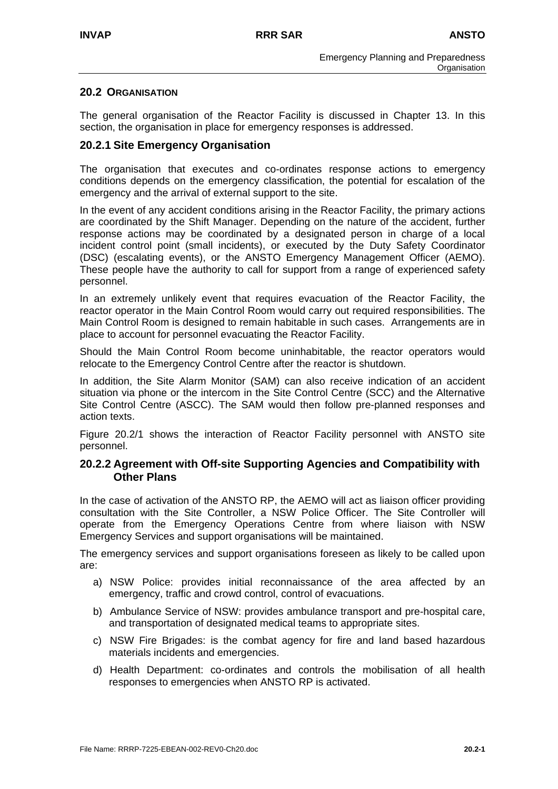## **20.2 ORGANISATION**

The general organisation of the Reactor Facility is discussed in Chapter 13. In this section, the organisation in place for emergency responses is addressed.

## **20.2.1 Site Emergency Organisation**

The organisation that executes and co-ordinates response actions to emergency conditions depends on the emergency classification, the potential for escalation of the emergency and the arrival of external support to the site.

In the event of any accident conditions arising in the Reactor Facility, the primary actions are coordinated by the Shift Manager. Depending on the nature of the accident, further response actions may be coordinated by a designated person in charge of a local incident control point (small incidents), or executed by the Duty Safety Coordinator (DSC) (escalating events), or the ANSTO Emergency Management Officer (AEMO). These people have the authority to call for support from a range of experienced safety personnel.

In an extremely unlikely event that requires evacuation of the Reactor Facility, the reactor operator in the Main Control Room would carry out required responsibilities. The Main Control Room is designed to remain habitable in such cases. Arrangements are in place to account for personnel evacuating the Reactor Facility.

Should the Main Control Room become uninhabitable, the reactor operators would relocate to the Emergency Control Centre after the reactor is shutdown.

In addition, the Site Alarm Monitor (SAM) can also receive indication of an accident situation via phone or the intercom in the Site Control Centre (SCC) and the Alternative Site Control Centre (ASCC). The SAM would then follow pre-planned responses and action texts.

Figure 20.2/1 shows the interaction of Reactor Facility personnel with ANSTO site personnel.

#### **20.2.2 Agreement with Off-site Supporting Agencies and Compatibility with Other Plans**

In the case of activation of the ANSTO RP, the AEMO will act as liaison officer providing consultation with the Site Controller, a NSW Police Officer. The Site Controller will operate from the Emergency Operations Centre from where liaison with NSW Emergency Services and support organisations will be maintained.

The emergency services and support organisations foreseen as likely to be called upon are:

- a) NSW Police: provides initial reconnaissance of the area affected by an emergency, traffic and crowd control, control of evacuations.
- b) Ambulance Service of NSW: provides ambulance transport and pre-hospital care, and transportation of designated medical teams to appropriate sites.
- c) NSW Fire Brigades: is the combat agency for fire and land based hazardous materials incidents and emergencies.
- d) Health Department: co-ordinates and controls the mobilisation of all health responses to emergencies when ANSTO RP is activated.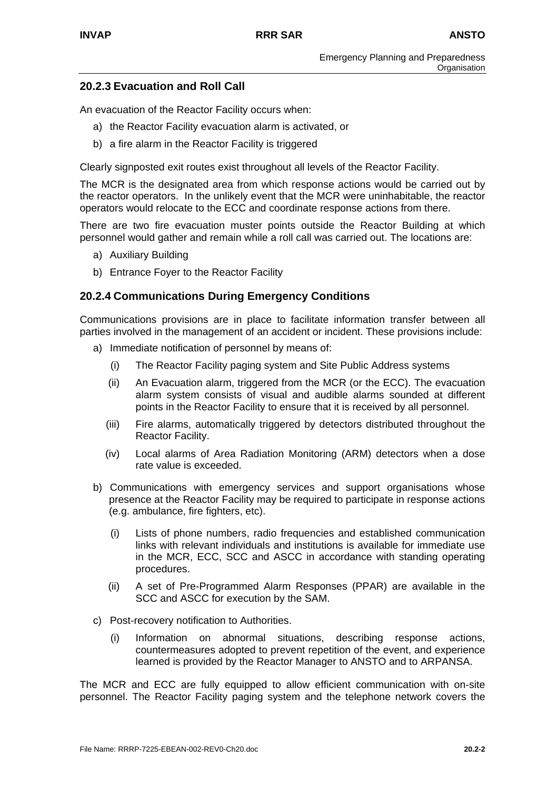# **20.2.3 Evacuation and Roll Call**

An evacuation of the Reactor Facility occurs when:

- a) the Reactor Facility evacuation alarm is activated, or
- b) a fire alarm in the Reactor Facility is triggered

Clearly signposted exit routes exist throughout all levels of the Reactor Facility.

The MCR is the designated area from which response actions would be carried out by the reactor operators. In the unlikely event that the MCR were uninhabitable, the reactor operators would relocate to the ECC and coordinate response actions from there.

There are two fire evacuation muster points outside the Reactor Building at which personnel would gather and remain while a roll call was carried out. The locations are:

- a) Auxiliary Building
- b) Entrance Foyer to the Reactor Facility

# **20.2.4 Communications During Emergency Conditions**

Communications provisions are in place to facilitate information transfer between all parties involved in the management of an accident or incident. These provisions include:

- a) Immediate notification of personnel by means of:
	- (i) The Reactor Facility paging system and Site Public Address systems
	- (ii) An Evacuation alarm, triggered from the MCR (or the ECC). The evacuation alarm system consists of visual and audible alarms sounded at different points in the Reactor Facility to ensure that it is received by all personnel.
	- (iii) Fire alarms, automatically triggered by detectors distributed throughout the Reactor Facility.
	- (iv) Local alarms of Area Radiation Monitoring (ARM) detectors when a dose rate value is exceeded.
- b) Communications with emergency services and support organisations whose presence at the Reactor Facility may be required to participate in response actions (e.g. ambulance, fire fighters, etc).
	- (i) Lists of phone numbers, radio frequencies and established communication links with relevant individuals and institutions is available for immediate use in the MCR, ECC, SCC and ASCC in accordance with standing operating procedures.
	- (ii) A set of Pre-Programmed Alarm Responses (PPAR) are available in the SCC and ASCC for execution by the SAM.
- c) Post-recovery notification to Authorities.
	- (i) Information on abnormal situations, describing response actions, countermeasures adopted to prevent repetition of the event, and experience learned is provided by the Reactor Manager to ANSTO and to ARPANSA.

The MCR and ECC are fully equipped to allow efficient communication with on-site personnel. The Reactor Facility paging system and the telephone network covers the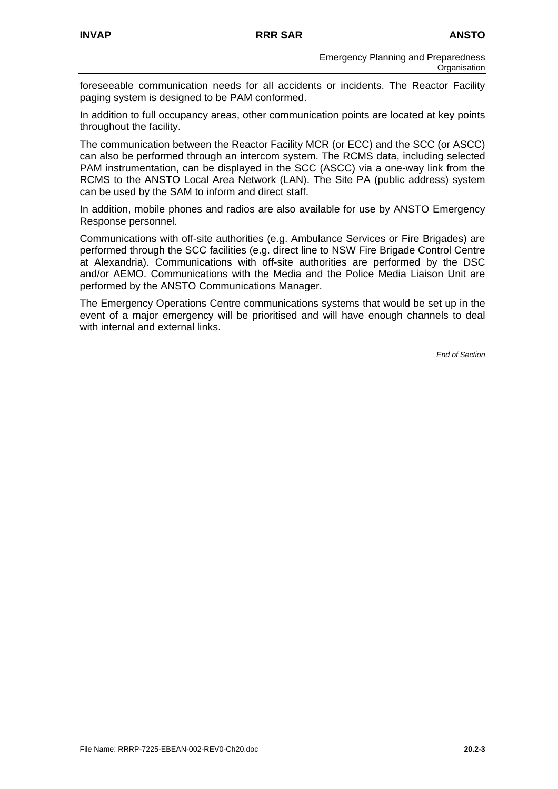foreseeable communication needs for all accidents or incidents. The Reactor Facility paging system is designed to be PAM conformed.

In addition to full occupancy areas, other communication points are located at key points throughout the facility.

The communication between the Reactor Facility MCR (or ECC) and the SCC (or ASCC) can also be performed through an intercom system. The RCMS data, including selected PAM instrumentation, can be displayed in the SCC (ASCC) via a one-way link from the RCMS to the ANSTO Local Area Network (LAN). The Site PA (public address) system can be used by the SAM to inform and direct staff.

In addition, mobile phones and radios are also available for use by ANSTO Emergency Response personnel.

Communications with off-site authorities (e.g. Ambulance Services or Fire Brigades) are performed through the SCC facilities (e.g. direct line to NSW Fire Brigade Control Centre at Alexandria). Communications with off-site authorities are performed by the DSC and/or AEMO. Communications with the Media and the Police Media Liaison Unit are performed by the ANSTO Communications Manager.

The Emergency Operations Centre communications systems that would be set up in the event of a major emergency will be prioritised and will have enough channels to deal with internal and external links.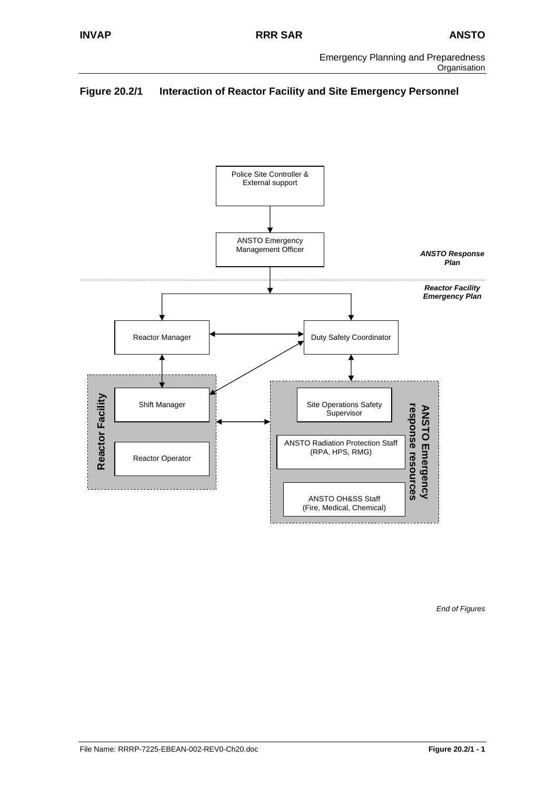# **Figure 20.2/1 Interaction of Reactor Facility and Site Emergency Personnel**



*End of Figures*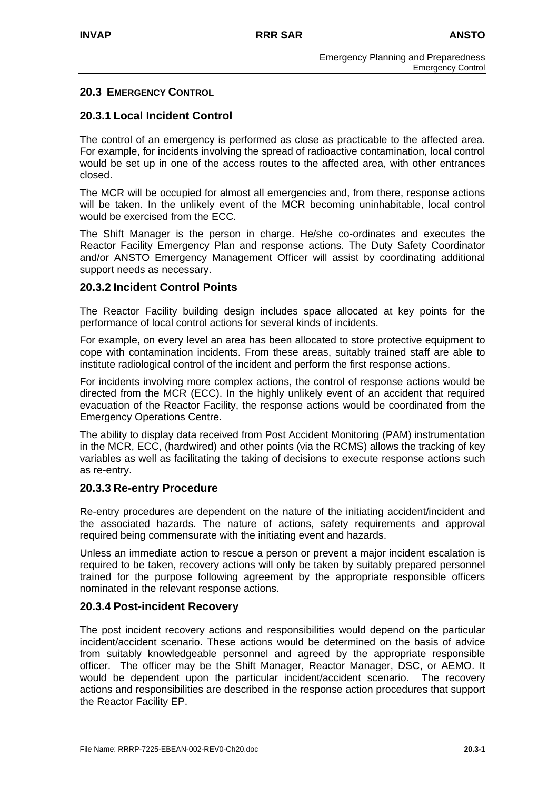# **20.3 EMERGENCY CONTROL**

# **20.3.1 Local Incident Control**

The control of an emergency is performed as close as practicable to the affected area. For example, for incidents involving the spread of radioactive contamination, local control would be set up in one of the access routes to the affected area, with other entrances closed.

The MCR will be occupied for almost all emergencies and, from there, response actions will be taken. In the unlikely event of the MCR becoming uninhabitable, local control would be exercised from the ECC.

The Shift Manager is the person in charge. He/she co-ordinates and executes the Reactor Facility Emergency Plan and response actions. The Duty Safety Coordinator and/or ANSTO Emergency Management Officer will assist by coordinating additional support needs as necessary.

# **20.3.2 Incident Control Points**

The Reactor Facility building design includes space allocated at key points for the performance of local control actions for several kinds of incidents.

For example, on every level an area has been allocated to store protective equipment to cope with contamination incidents. From these areas, suitably trained staff are able to institute radiological control of the incident and perform the first response actions.

For incidents involving more complex actions, the control of response actions would be directed from the MCR (ECC). In the highly unlikely event of an accident that required evacuation of the Reactor Facility, the response actions would be coordinated from the Emergency Operations Centre.

The ability to display data received from Post Accident Monitoring (PAM) instrumentation in the MCR, ECC, (hardwired) and other points (via the RCMS) allows the tracking of key variables as well as facilitating the taking of decisions to execute response actions such as re-entry.

# **20.3.3 Re-entry Procedure**

Re-entry procedures are dependent on the nature of the initiating accident/incident and the associated hazards. The nature of actions, safety requirements and approval required being commensurate with the initiating event and hazards.

Unless an immediate action to rescue a person or prevent a major incident escalation is required to be taken, recovery actions will only be taken by suitably prepared personnel trained for the purpose following agreement by the appropriate responsible officers nominated in the relevant response actions.

# **20.3.4 Post-incident Recovery**

The post incident recovery actions and responsibilities would depend on the particular incident/accident scenario. These actions would be determined on the basis of advice from suitably knowledgeable personnel and agreed by the appropriate responsible officer. The officer may be the Shift Manager, Reactor Manager, DSC, or AEMO. It would be dependent upon the particular incident/accident scenario. The recovery actions and responsibilities are described in the response action procedures that support the Reactor Facility EP.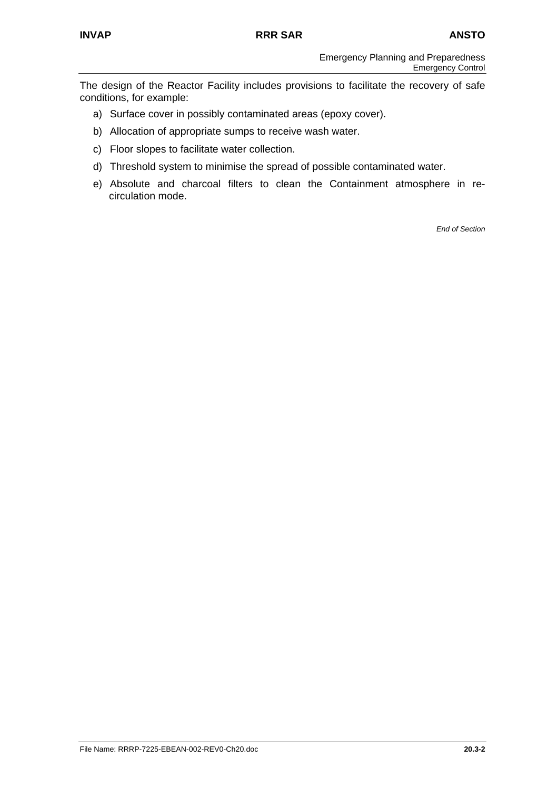The design of the Reactor Facility includes provisions to facilitate the recovery of safe conditions, for example:

- a) Surface cover in possibly contaminated areas (epoxy cover).
- b) Allocation of appropriate sumps to receive wash water.
- c) Floor slopes to facilitate water collection.
- d) Threshold system to minimise the spread of possible contaminated water.
- e) Absolute and charcoal filters to clean the Containment atmosphere in recirculation mode.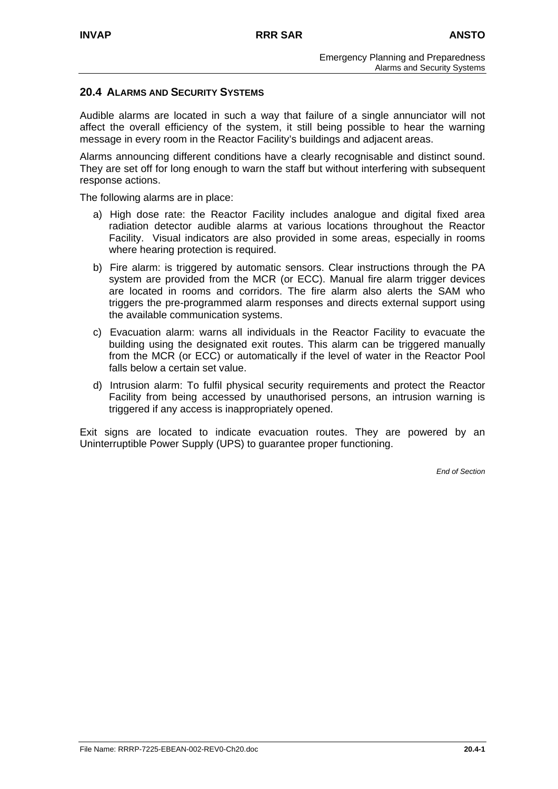#### **20.4 ALARMS AND SECURITY SYSTEMS**

Audible alarms are located in such a way that failure of a single annunciator will not affect the overall efficiency of the system, it still being possible to hear the warning message in every room in the Reactor Facility's buildings and adjacent areas.

Alarms announcing different conditions have a clearly recognisable and distinct sound. They are set off for long enough to warn the staff but without interfering with subsequent response actions.

The following alarms are in place:

- a) High dose rate: the Reactor Facility includes analogue and digital fixed area radiation detector audible alarms at various locations throughout the Reactor Facility. Visual indicators are also provided in some areas, especially in rooms where hearing protection is required.
- b) Fire alarm: is triggered by automatic sensors. Clear instructions through the PA system are provided from the MCR (or ECC). Manual fire alarm trigger devices are located in rooms and corridors. The fire alarm also alerts the SAM who triggers the pre-programmed alarm responses and directs external support using the available communication systems.
- c) Evacuation alarm: warns all individuals in the Reactor Facility to evacuate the building using the designated exit routes. This alarm can be triggered manually from the MCR (or ECC) or automatically if the level of water in the Reactor Pool falls below a certain set value.
- d) Intrusion alarm: To fulfil physical security requirements and protect the Reactor Facility from being accessed by unauthorised persons, an intrusion warning is triggered if any access is inappropriately opened.

Exit signs are located to indicate evacuation routes. They are powered by an Uninterruptible Power Supply (UPS) to guarantee proper functioning.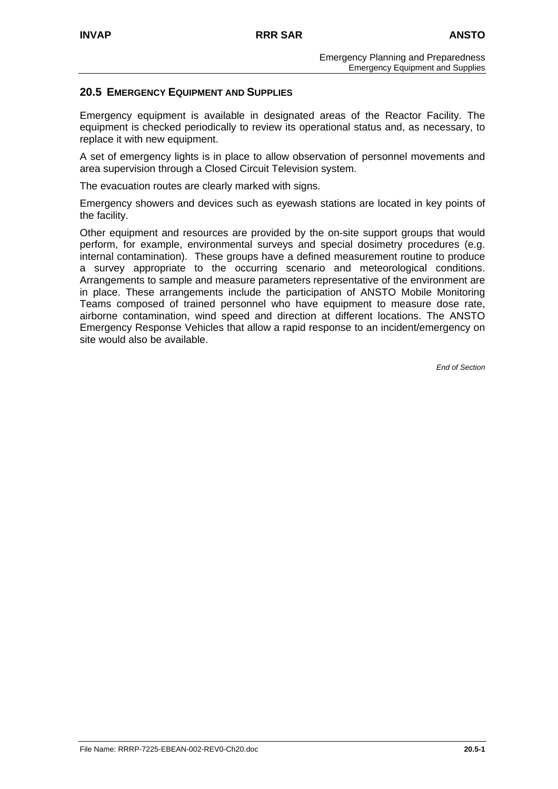#### **20.5 EMERGENCY EQUIPMENT AND SUPPLIES**

Emergency equipment is available in designated areas of the Reactor Facility. The equipment is checked periodically to review its operational status and, as necessary, to replace it with new equipment.

A set of emergency lights is in place to allow observation of personnel movements and area supervision through a Closed Circuit Television system.

The evacuation routes are clearly marked with signs.

Emergency showers and devices such as eyewash stations are located in key points of the facility.

Other equipment and resources are provided by the on-site support groups that would perform, for example, environmental surveys and special dosimetry procedures (e.g. internal contamination). These groups have a defined measurement routine to produce a survey appropriate to the occurring scenario and meteorological conditions. Arrangements to sample and measure parameters representative of the environment are in place. These arrangements include the participation of ANSTO Mobile Monitoring Teams composed of trained personnel who have equipment to measure dose rate, airborne contamination, wind speed and direction at different locations. The ANSTO Emergency Response Vehicles that allow a rapid response to an incident/emergency on site would also be available.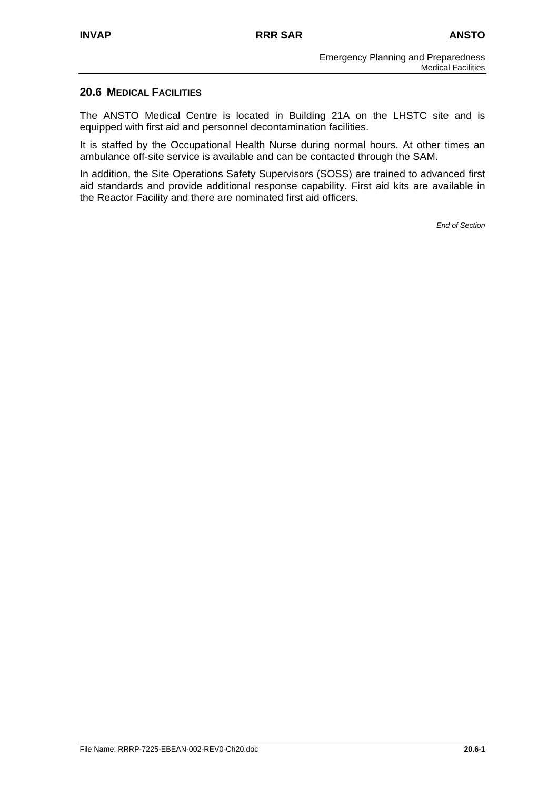## **20.6 MEDICAL FACILITIES**

The ANSTO Medical Centre is located in Building 21A on the LHSTC site and is equipped with first aid and personnel decontamination facilities.

It is staffed by the Occupational Health Nurse during normal hours. At other times an ambulance off-site service is available and can be contacted through the SAM.

In addition, the Site Operations Safety Supervisors (SOSS) are trained to advanced first aid standards and provide additional response capability. First aid kits are available in the Reactor Facility and there are nominated first aid officers.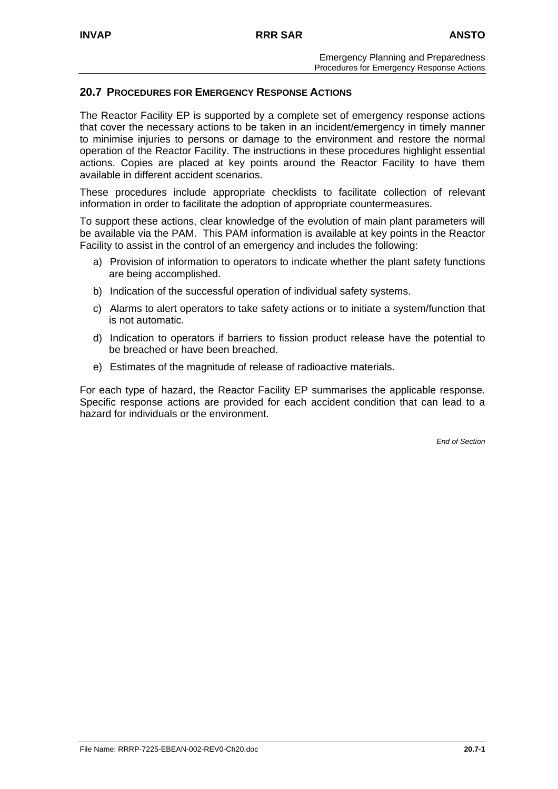## **20.7 PROCEDURES FOR EMERGENCY RESPONSE ACTIONS**

The Reactor Facility EP is supported by a complete set of emergency response actions that cover the necessary actions to be taken in an incident/emergency in timely manner to minimise injuries to persons or damage to the environment and restore the normal operation of the Reactor Facility. The instructions in these procedures highlight essential actions. Copies are placed at key points around the Reactor Facility to have them available in different accident scenarios.

These procedures include appropriate checklists to facilitate collection of relevant information in order to facilitate the adoption of appropriate countermeasures.

To support these actions, clear knowledge of the evolution of main plant parameters will be available via the PAM. This PAM information is available at key points in the Reactor Facility to assist in the control of an emergency and includes the following:

- a) Provision of information to operators to indicate whether the plant safety functions are being accomplished.
- b) Indication of the successful operation of individual safety systems.
- c) Alarms to alert operators to take safety actions or to initiate a system/function that is not automatic.
- d) Indication to operators if barriers to fission product release have the potential to be breached or have been breached.
- e) Estimates of the magnitude of release of radioactive materials.

For each type of hazard, the Reactor Facility EP summarises the applicable response. Specific response actions are provided for each accident condition that can lead to a hazard for individuals or the environment.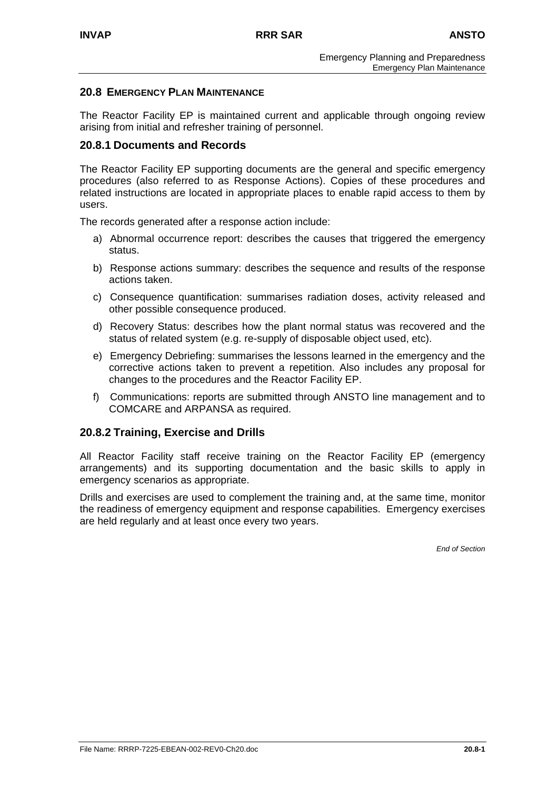#### **20.8 EMERGENCY PLAN MAINTENANCE**

The Reactor Facility EP is maintained current and applicable through ongoing review arising from initial and refresher training of personnel.

## **20.8.1 Documents and Records**

The Reactor Facility EP supporting documents are the general and specific emergency procedures (also referred to as Response Actions). Copies of these procedures and related instructions are located in appropriate places to enable rapid access to them by users.

The records generated after a response action include:

- a) Abnormal occurrence report: describes the causes that triggered the emergency status.
- b) Response actions summary: describes the sequence and results of the response actions taken.
- c) Consequence quantification: summarises radiation doses, activity released and other possible consequence produced.
- d) Recovery Status: describes how the plant normal status was recovered and the status of related system (e.g. re-supply of disposable object used, etc).
- e) Emergency Debriefing: summarises the lessons learned in the emergency and the corrective actions taken to prevent a repetition. Also includes any proposal for changes to the procedures and the Reactor Facility EP.
- f) Communications: reports are submitted through ANSTO line management and to COMCARE and ARPANSA as required.

# **20.8.2 Training, Exercise and Drills**

All Reactor Facility staff receive training on the Reactor Facility EP (emergency arrangements) and its supporting documentation and the basic skills to apply in emergency scenarios as appropriate.

Drills and exercises are used to complement the training and, at the same time, monitor the readiness of emergency equipment and response capabilities. Emergency exercises are held regularly and at least once every two years.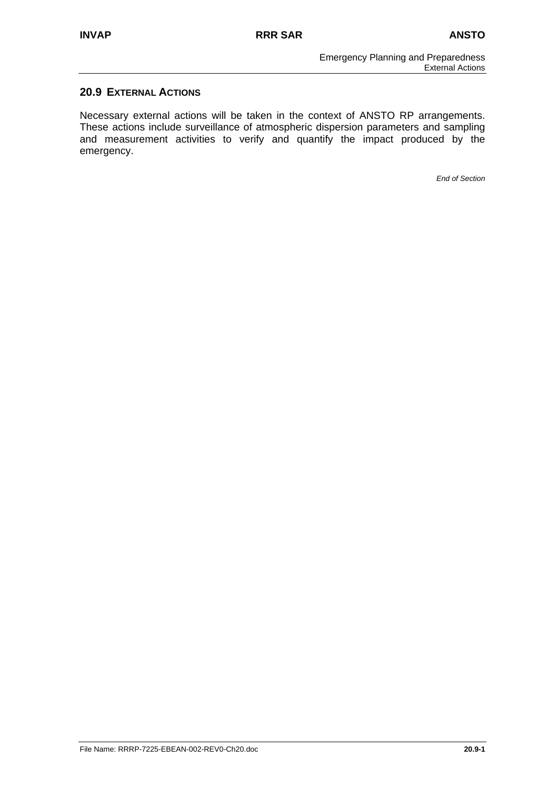# **20.9 EXTERNAL ACTIONS**

Necessary external actions will be taken in the context of ANSTO RP arrangements. These actions include surveillance of atmospheric dispersion parameters and sampling and measurement activities to verify and quantify the impact produced by the emergency.